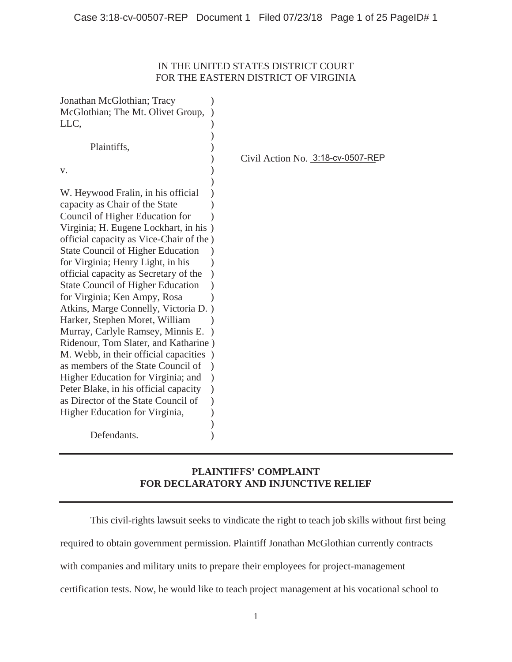## IN THE UNITED STATES DISTRICT COURT FOR THE EASTERN DISTRICT OF VIRGINIA

| Jonathan McGlothian; Tracy<br>McGlothian; The Mt. Olivet Group,<br>LLC,       |                                   |
|-------------------------------------------------------------------------------|-----------------------------------|
| Plaintiffs,                                                                   |                                   |
|                                                                               | Civil Action No. 3:18-cv-0507-REP |
| v.                                                                            |                                   |
|                                                                               |                                   |
| W. Heywood Fralin, in his official                                            |                                   |
| capacity as Chair of the State                                                |                                   |
| Council of Higher Education for                                               |                                   |
| Virginia; H. Eugene Lockhart, in his)                                         |                                   |
| official capacity as Vice-Chair of the)                                       |                                   |
| <b>State Council of Higher Education</b><br>for Virginia; Henry Light, in his |                                   |
|                                                                               |                                   |
| official capacity as Secretary of the                                         |                                   |
| <b>State Council of Higher Education</b><br>for Virginia; Ken Ampy, Rosa      |                                   |
| Atkins, Marge Connelly, Victoria D.                                           |                                   |
| Harker, Stephen Moret, William                                                |                                   |
| Murray, Carlyle Ramsey, Minnis E.                                             |                                   |
| Ridenour, Tom Slater, and Katharine)                                          |                                   |
| M. Webb, in their official capacities                                         |                                   |
| as members of the State Council of                                            |                                   |
| Higher Education for Virginia; and                                            |                                   |
| Peter Blake, in his official capacity                                         |                                   |
| as Director of the State Council of                                           |                                   |
| Higher Education for Virginia,                                                |                                   |
|                                                                               |                                   |
| Defendants.                                                                   |                                   |

# **PLAINTIFFS' COMPLAINT FOR DECLARATORY AND INJUNCTIVE RELIEF**

This civil-rights lawsuit seeks to vindicate the right to teach job skills without first being required to obtain government permission. Plaintiff Jonathan McGlothian currently contracts with companies and military units to prepare their employees for project-management certification tests. Now, he would like to teach project management at his vocational school to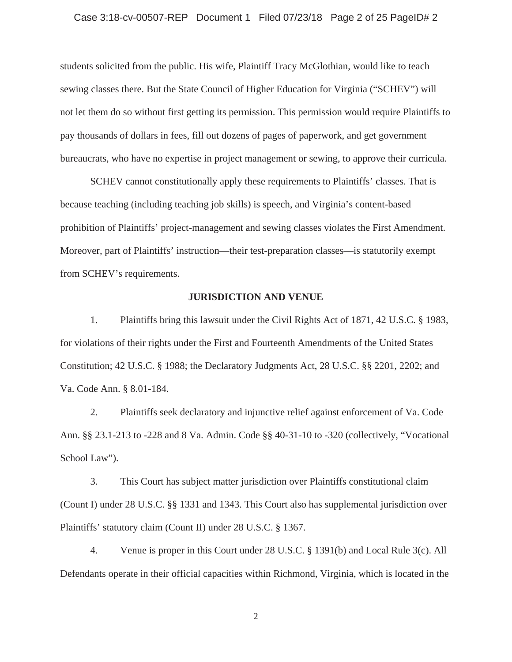# Case 3:18-cv-00507-REP Document 1 Filed 07/23/18 Page 2 of 25 PageID# 2

students solicited from the public. His wife, Plaintiff Tracy McGlothian, would like to teach sewing classes there. But the State Council of Higher Education for Virginia ("SCHEV") will not let them do so without first getting its permission. This permission would require Plaintiffs to pay thousands of dollars in fees, fill out dozens of pages of paperwork, and get government bureaucrats, who have no expertise in project management or sewing, to approve their curricula.

SCHEV cannot constitutionally apply these requirements to Plaintiffs' classes. That is because teaching (including teaching job skills) is speech, and Virginia's content-based prohibition of Plaintiffs' project-management and sewing classes violates the First Amendment. Moreover, part of Plaintiffs' instruction—their test-preparation classes—is statutorily exempt from SCHEV's requirements.

#### **JURISDICTION AND VENUE**

1. Plaintiffs bring this lawsuit under the Civil Rights Act of 1871, 42 U.S.C. § 1983, for violations of their rights under the First and Fourteenth Amendments of the United States Constitution; 42 U.S.C. § 1988; the Declaratory Judgments Act, 28 U.S.C. §§ 2201, 2202; and Va. Code Ann. § 8.01-184.

2. Plaintiffs seek declaratory and injunctive relief against enforcement of Va. Code Ann. §§ 23.1-213 to -228 and 8 Va. Admin. Code §§ 40-31-10 to -320 (collectively, "Vocational School Law").

3. This Court has subject matter jurisdiction over Plaintiffs constitutional claim (Count I) under 28 U.S.C. §§ 1331 and 1343. This Court also has supplemental jurisdiction over Plaintiffs' statutory claim (Count II) under 28 U.S.C. § 1367.

4. Venue is proper in this Court under 28 U.S.C. § 1391(b) and Local Rule 3(c). All Defendants operate in their official capacities within Richmond, Virginia, which is located in the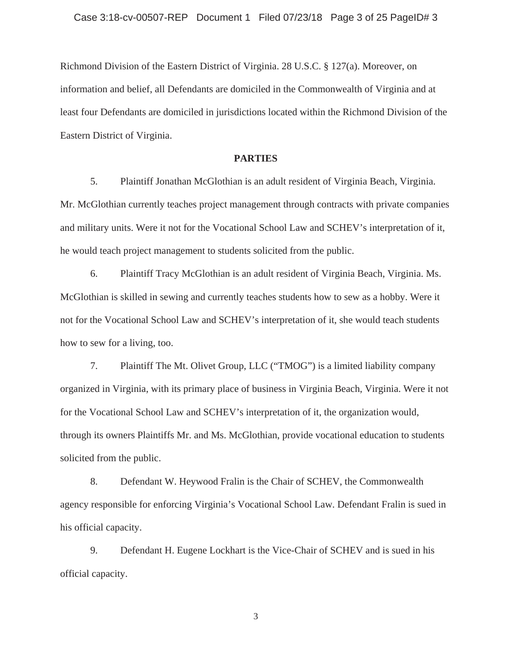Richmond Division of the Eastern District of Virginia. 28 U.S.C. § 127(a). Moreover, on information and belief, all Defendants are domiciled in the Commonwealth of Virginia and at least four Defendants are domiciled in jurisdictions located within the Richmond Division of the Eastern District of Virginia.

### **PARTIES**

5. Plaintiff Jonathan McGlothian is an adult resident of Virginia Beach, Virginia. Mr. McGlothian currently teaches project management through contracts with private companies and military units. Were it not for the Vocational School Law and SCHEV's interpretation of it, he would teach project management to students solicited from the public.

6. Plaintiff Tracy McGlothian is an adult resident of Virginia Beach, Virginia. Ms. McGlothian is skilled in sewing and currently teaches students how to sew as a hobby. Were it not for the Vocational School Law and SCHEV's interpretation of it, she would teach students how to sew for a living, too.

7. Plaintiff The Mt. Olivet Group, LLC ("TMOG") is a limited liability company organized in Virginia, with its primary place of business in Virginia Beach, Virginia. Were it not for the Vocational School Law and SCHEV's interpretation of it, the organization would, through its owners Plaintiffs Mr. and Ms. McGlothian, provide vocational education to students solicited from the public.

8. Defendant W. Heywood Fralin is the Chair of SCHEV, the Commonwealth agency responsible for enforcing Virginia's Vocational School Law. Defendant Fralin is sued in his official capacity.

9. Defendant H. Eugene Lockhart is the Vice-Chair of SCHEV and is sued in his official capacity.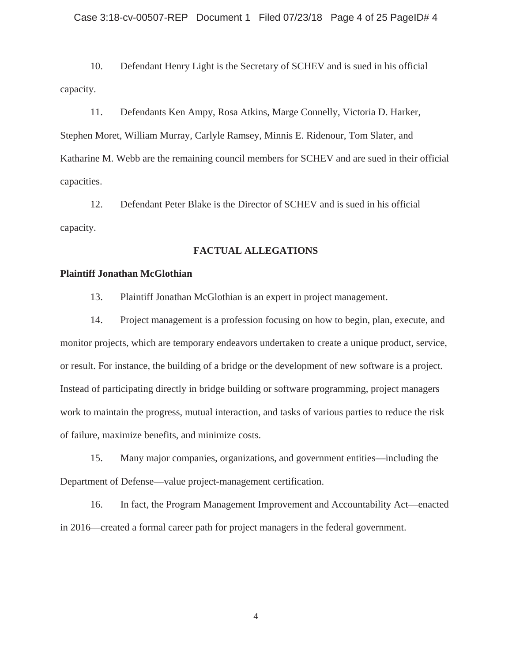10. Defendant Henry Light is the Secretary of SCHEV and is sued in his official capacity.

11. Defendants Ken Ampy, Rosa Atkins, Marge Connelly, Victoria D. Harker, Stephen Moret, William Murray, Carlyle Ramsey, Minnis E. Ridenour, Tom Slater, and Katharine M. Webb are the remaining council members for SCHEV and are sued in their official capacities.

12. Defendant Peter Blake is the Director of SCHEV and is sued in his official capacity.

### **FACTUAL ALLEGATIONS**

### **Plaintiff Jonathan McGlothian**

13. Plaintiff Jonathan McGlothian is an expert in project management.

14. Project management is a profession focusing on how to begin, plan, execute, and monitor projects, which are temporary endeavors undertaken to create a unique product, service, or result. For instance, the building of a bridge or the development of new software is a project. Instead of participating directly in bridge building or software programming, project managers work to maintain the progress, mutual interaction, and tasks of various parties to reduce the risk of failure, maximize benefits, and minimize costs.

15. Many major companies, organizations, and government entities—including the Department of Defense—value project-management certification.

16. In fact, the Program Management Improvement and Accountability Act—enacted in 2016—created a formal career path for project managers in the federal government.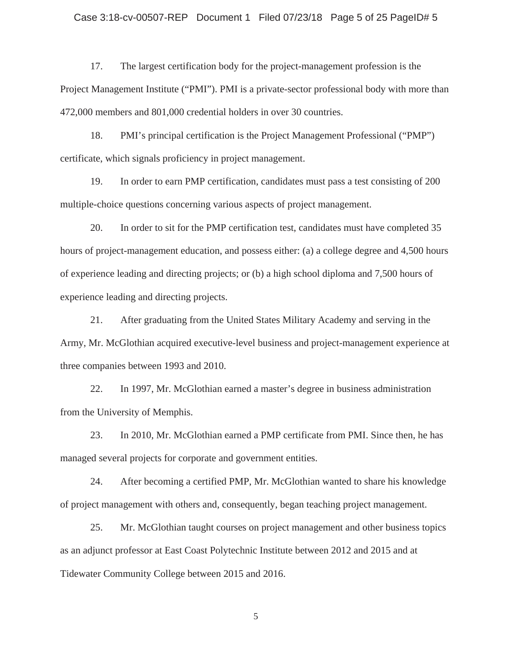### Case 3:18-cv-00507-REP Document 1 Filed 07/23/18 Page 5 of 25 PageID# 5

17. The largest certification body for the project-management profession is the Project Management Institute ("PMI"). PMI is a private-sector professional body with more than 472,000 members and 801,000 credential holders in over 30 countries.

18. PMI's principal certification is the Project Management Professional ("PMP") certificate, which signals proficiency in project management.

19. In order to earn PMP certification, candidates must pass a test consisting of 200 multiple-choice questions concerning various aspects of project management.

20. In order to sit for the PMP certification test, candidates must have completed 35 hours of project-management education, and possess either: (a) a college degree and 4,500 hours of experience leading and directing projects; or (b) a high school diploma and 7,500 hours of experience leading and directing projects.

21. After graduating from the United States Military Academy and serving in the Army, Mr. McGlothian acquired executive-level business and project-management experience at three companies between 1993 and 2010.

22. In 1997, Mr. McGlothian earned a master's degree in business administration from the University of Memphis.

23. In 2010, Mr. McGlothian earned a PMP certificate from PMI. Since then, he has managed several projects for corporate and government entities.

24. After becoming a certified PMP, Mr. McGlothian wanted to share his knowledge of project management with others and, consequently, began teaching project management.

25. Mr. McGlothian taught courses on project management and other business topics as an adjunct professor at East Coast Polytechnic Institute between 2012 and 2015 and at Tidewater Community College between 2015 and 2016.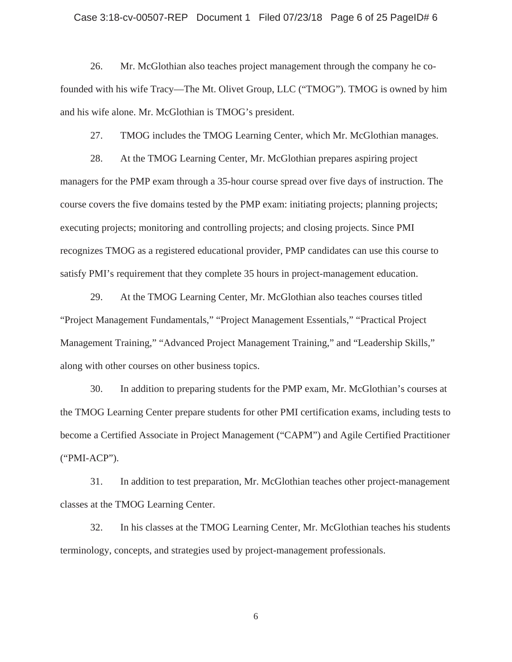# Case 3:18-cv-00507-REP Document 1 Filed 07/23/18 Page 6 of 25 PageID# 6

26. Mr. McGlothian also teaches project management through the company he cofounded with his wife Tracy—The Mt. Olivet Group, LLC ("TMOG"). TMOG is owned by him and his wife alone. Mr. McGlothian is TMOG's president.

27. TMOG includes the TMOG Learning Center, which Mr. McGlothian manages.

28. At the TMOG Learning Center, Mr. McGlothian prepares aspiring project managers for the PMP exam through a 35-hour course spread over five days of instruction. The course covers the five domains tested by the PMP exam: initiating projects; planning projects; executing projects; monitoring and controlling projects; and closing projects. Since PMI recognizes TMOG as a registered educational provider, PMP candidates can use this course to satisfy PMI's requirement that they complete 35 hours in project-management education.

29. At the TMOG Learning Center, Mr. McGlothian also teaches courses titled "Project Management Fundamentals," "Project Management Essentials," "Practical Project Management Training," "Advanced Project Management Training," and "Leadership Skills," along with other courses on other business topics.

30. In addition to preparing students for the PMP exam, Mr. McGlothian's courses at the TMOG Learning Center prepare students for other PMI certification exams, including tests to become a Certified Associate in Project Management ("CAPM") and Agile Certified Practitioner ("PMI-ACP").

31. In addition to test preparation, Mr. McGlothian teaches other project-management classes at the TMOG Learning Center.

32. In his classes at the TMOG Learning Center, Mr. McGlothian teaches his students terminology, concepts, and strategies used by project-management professionals.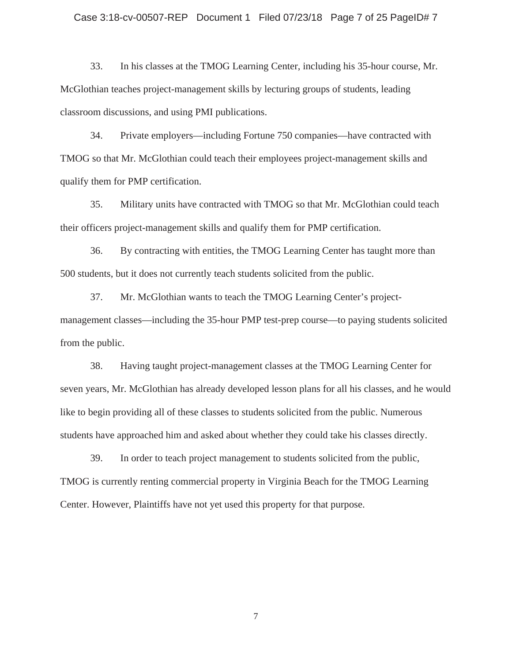### Case 3:18-cv-00507-REP Document 1 Filed 07/23/18 Page 7 of 25 PageID# 7

33. In his classes at the TMOG Learning Center, including his 35-hour course, Mr. McGlothian teaches project-management skills by lecturing groups of students, leading classroom discussions, and using PMI publications.

34. Private employers—including Fortune 750 companies—have contracted with TMOG so that Mr. McGlothian could teach their employees project-management skills and qualify them for PMP certification.

35. Military units have contracted with TMOG so that Mr. McGlothian could teach their officers project-management skills and qualify them for PMP certification.

36. By contracting with entities, the TMOG Learning Center has taught more than 500 students, but it does not currently teach students solicited from the public.

37. Mr. McGlothian wants to teach the TMOG Learning Center's projectmanagement classes—including the 35-hour PMP test-prep course—to paying students solicited from the public.

38. Having taught project-management classes at the TMOG Learning Center for seven years, Mr. McGlothian has already developed lesson plans for all his classes, and he would like to begin providing all of these classes to students solicited from the public. Numerous students have approached him and asked about whether they could take his classes directly.

39. In order to teach project management to students solicited from the public, TMOG is currently renting commercial property in Virginia Beach for the TMOG Learning Center. However, Plaintiffs have not yet used this property for that purpose.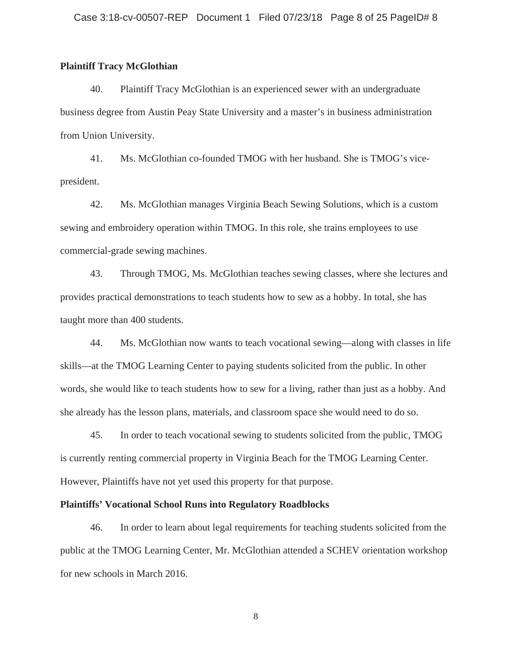### **Plaintiff Tracy McGlothian**

40. Plaintiff Tracy McGlothian is an experienced sewer with an undergraduate business degree from Austin Peay State University and a master's in business administration from Union University.

41. Ms. McGlothian co-founded TMOG with her husband. She is TMOG's vicepresident.

42. Ms. McGlothian manages Virginia Beach Sewing Solutions, which is a custom sewing and embroidery operation within TMOG. In this role, she trains employees to use commercial-grade sewing machines.

43. Through TMOG, Ms. McGlothian teaches sewing classes, where she lectures and provides practical demonstrations to teach students how to sew as a hobby. In total, she has taught more than 400 students.

44. Ms. McGlothian now wants to teach vocational sewing—along with classes in life skills—at the TMOG Learning Center to paying students solicited from the public. In other words, she would like to teach students how to sew for a living, rather than just as a hobby. And she already has the lesson plans, materials, and classroom space she would need to do so.

45. In order to teach vocational sewing to students solicited from the public, TMOG is currently renting commercial property in Virginia Beach for the TMOG Learning Center. However, Plaintiffs have not yet used this property for that purpose.

### **Plaintiffs' Vocational School Runs into Regulatory Roadblocks**

46. In order to learn about legal requirements for teaching students solicited from the public at the TMOG Learning Center, Mr. McGlothian attended a SCHEV orientation workshop for new schools in March 2016.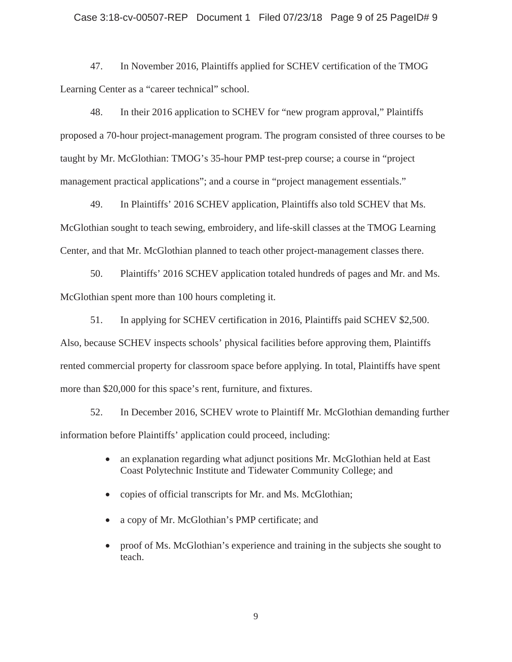### Case 3:18-cv-00507-REP Document 1 Filed 07/23/18 Page 9 of 25 PageID# 9

47. In November 2016, Plaintiffs applied for SCHEV certification of the TMOG Learning Center as a "career technical" school.

48. In their 2016 application to SCHEV for "new program approval," Plaintiffs proposed a 70-hour project-management program. The program consisted of three courses to be taught by Mr. McGlothian: TMOG's 35-hour PMP test-prep course; a course in "project management practical applications"; and a course in "project management essentials."

49. In Plaintiffs' 2016 SCHEV application, Plaintiffs also told SCHEV that Ms. McGlothian sought to teach sewing, embroidery, and life-skill classes at the TMOG Learning Center, and that Mr. McGlothian planned to teach other project-management classes there.

50. Plaintiffs' 2016 SCHEV application totaled hundreds of pages and Mr. and Ms. McGlothian spent more than 100 hours completing it.

51. In applying for SCHEV certification in 2016, Plaintiffs paid SCHEV \$2,500. Also, because SCHEV inspects schools' physical facilities before approving them, Plaintiffs rented commercial property for classroom space before applying. In total, Plaintiffs have spent more than \$20,000 for this space's rent, furniture, and fixtures.

52. In December 2016, SCHEV wrote to Plaintiff Mr. McGlothian demanding further information before Plaintiffs' application could proceed, including:

- an explanation regarding what adjunct positions Mr. McGlothian held at East Coast Polytechnic Institute and Tidewater Community College; and
- copies of official transcripts for Mr. and Ms. McGlothian;
- a copy of Mr. McGlothian's PMP certificate; and
- proof of Ms. McGlothian's experience and training in the subjects she sought to teach.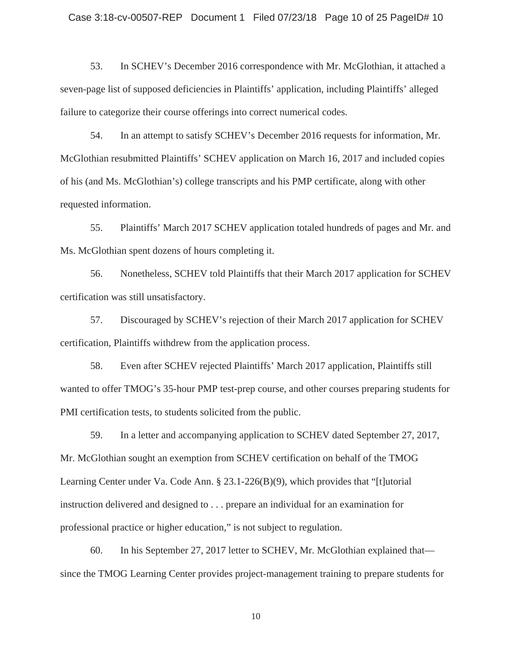53. In SCHEV's December 2016 correspondence with Mr. McGlothian, it attached a seven-page list of supposed deficiencies in Plaintiffs' application, including Plaintiffs' alleged failure to categorize their course offerings into correct numerical codes.

54. In an attempt to satisfy SCHEV's December 2016 requests for information, Mr. McGlothian resubmitted Plaintiffs' SCHEV application on March 16, 2017 and included copies of his (and Ms. McGlothian's) college transcripts and his PMP certificate, along with other requested information.

55. Plaintiffs' March 2017 SCHEV application totaled hundreds of pages and Mr. and Ms. McGlothian spent dozens of hours completing it.

56. Nonetheless, SCHEV told Plaintiffs that their March 2017 application for SCHEV certification was still unsatisfactory.

57. Discouraged by SCHEV's rejection of their March 2017 application for SCHEV certification, Plaintiffs withdrew from the application process.

58. Even after SCHEV rejected Plaintiffs' March 2017 application, Plaintiffs still wanted to offer TMOG's 35-hour PMP test-prep course, and other courses preparing students for PMI certification tests, to students solicited from the public.

59. In a letter and accompanying application to SCHEV dated September 27, 2017, Mr. McGlothian sought an exemption from SCHEV certification on behalf of the TMOG Learning Center under Va. Code Ann. § 23.1-226(B)(9), which provides that "[t]utorial instruction delivered and designed to . . . prepare an individual for an examination for professional practice or higher education," is not subject to regulation.

60. In his September 27, 2017 letter to SCHEV, Mr. McGlothian explained that since the TMOG Learning Center provides project-management training to prepare students for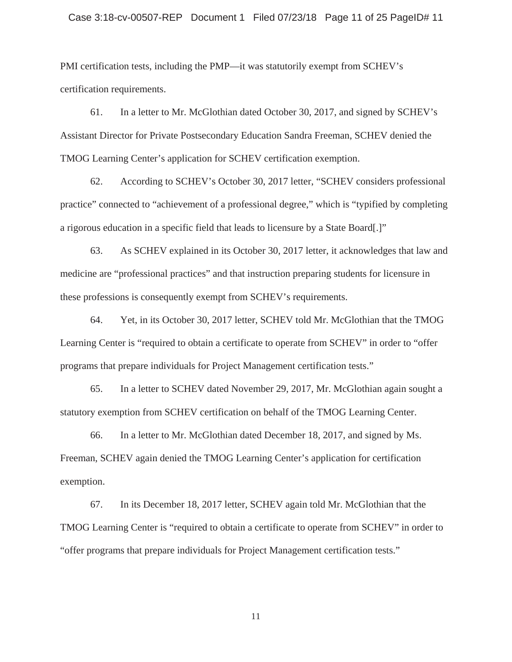### Case 3:18-cv-00507-REP Document 1 Filed 07/23/18 Page 11 of 25 PageID# 11

PMI certification tests, including the PMP—it was statutorily exempt from SCHEV's certification requirements.

61. In a letter to Mr. McGlothian dated October 30, 2017, and signed by SCHEV's Assistant Director for Private Postsecondary Education Sandra Freeman, SCHEV denied the TMOG Learning Center's application for SCHEV certification exemption.

62. According to SCHEV's October 30, 2017 letter, "SCHEV considers professional practice" connected to "achievement of a professional degree," which is "typified by completing a rigorous education in a specific field that leads to licensure by a State Board[.]"

63. As SCHEV explained in its October 30, 2017 letter, it acknowledges that law and medicine are "professional practices" and that instruction preparing students for licensure in these professions is consequently exempt from SCHEV's requirements.

64. Yet, in its October 30, 2017 letter, SCHEV told Mr. McGlothian that the TMOG Learning Center is "required to obtain a certificate to operate from SCHEV" in order to "offer programs that prepare individuals for Project Management certification tests."

65. In a letter to SCHEV dated November 29, 2017, Mr. McGlothian again sought a statutory exemption from SCHEV certification on behalf of the TMOG Learning Center.

66. In a letter to Mr. McGlothian dated December 18, 2017, and signed by Ms. Freeman, SCHEV again denied the TMOG Learning Center's application for certification exemption.

67. In its December 18, 2017 letter, SCHEV again told Mr. McGlothian that the TMOG Learning Center is "required to obtain a certificate to operate from SCHEV" in order to "offer programs that prepare individuals for Project Management certification tests."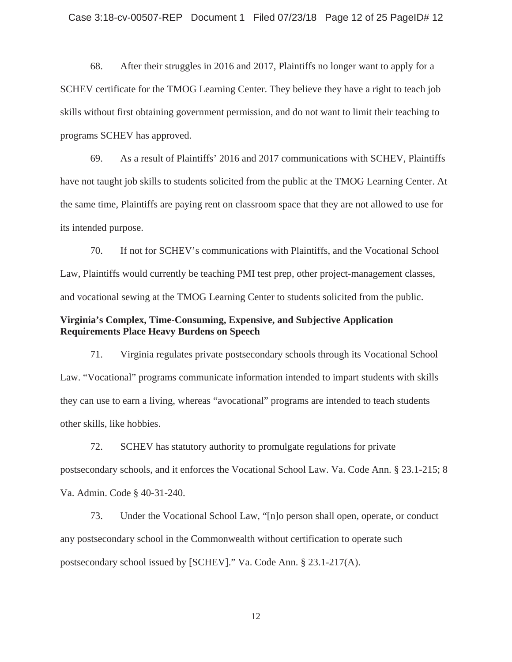68. After their struggles in 2016 and 2017, Plaintiffs no longer want to apply for a SCHEV certificate for the TMOG Learning Center. They believe they have a right to teach job skills without first obtaining government permission, and do not want to limit their teaching to programs SCHEV has approved.

69. As a result of Plaintiffs' 2016 and 2017 communications with SCHEV, Plaintiffs have not taught job skills to students solicited from the public at the TMOG Learning Center. At the same time, Plaintiffs are paying rent on classroom space that they are not allowed to use for its intended purpose.

70. If not for SCHEV's communications with Plaintiffs, and the Vocational School Law, Plaintiffs would currently be teaching PMI test prep, other project-management classes, and vocational sewing at the TMOG Learning Center to students solicited from the public.

### **Virginia's Complex, Time-Consuming, Expensive, and Subjective Application Requirements Place Heavy Burdens on Speech**

71. Virginia regulates private postsecondary schools through its Vocational School Law. "Vocational" programs communicate information intended to impart students with skills they can use to earn a living, whereas "avocational" programs are intended to teach students other skills, like hobbies.

72. SCHEV has statutory authority to promulgate regulations for private postsecondary schools, and it enforces the Vocational School Law. Va. Code Ann. § 23.1-215; 8 Va. Admin. Code § 40-31-240.

73. Under the Vocational School Law, "[n]o person shall open, operate, or conduct any postsecondary school in the Commonwealth without certification to operate such postsecondary school issued by [SCHEV]." Va. Code Ann. § 23.1-217(A).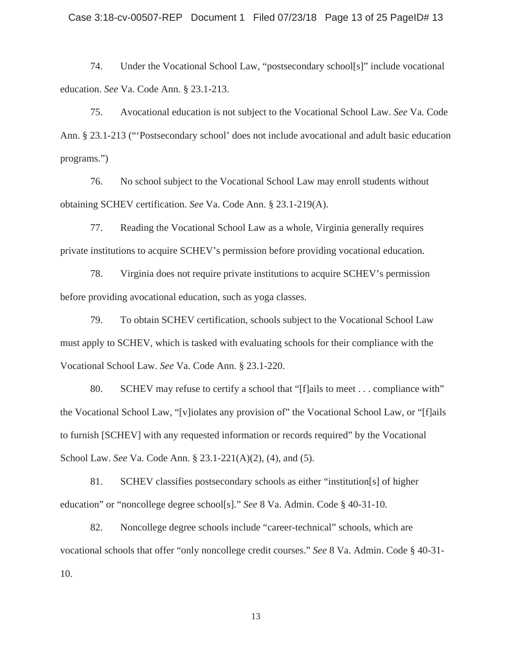74. Under the Vocational School Law, "postsecondary school[s]" include vocational education. *See* Va. Code Ann. § 23.1-213.

75. Avocational education is not subject to the Vocational School Law. *See* Va. Code Ann. § 23.1-213 ("'Postsecondary school' does not include avocational and adult basic education programs.")

76. No school subject to the Vocational School Law may enroll students without obtaining SCHEV certification. *See* Va. Code Ann. § 23.1-219(A).

77. Reading the Vocational School Law as a whole, Virginia generally requires private institutions to acquire SCHEV's permission before providing vocational education.

78. Virginia does not require private institutions to acquire SCHEV's permission before providing avocational education, such as yoga classes.

79. To obtain SCHEV certification, schools subject to the Vocational School Law must apply to SCHEV, which is tasked with evaluating schools for their compliance with the Vocational School Law. *See* Va. Code Ann. § 23.1-220.

80. SCHEV may refuse to certify a school that "[f]ails to meet . . . compliance with" the Vocational School Law, "[v]iolates any provision of" the Vocational School Law, or "[f]ails to furnish [SCHEV] with any requested information or records required" by the Vocational School Law. *See* Va. Code Ann. § 23.1-221(A)(2), (4), and (5).

81. SCHEV classifies postsecondary schools as either "institution[s] of higher education" or "noncollege degree school[s]." *See* 8 Va. Admin. Code § 40-31-10.

82. Noncollege degree schools include "career-technical" schools, which are vocational schools that offer "only noncollege credit courses." *See* 8 Va. Admin. Code § 40-31- 10.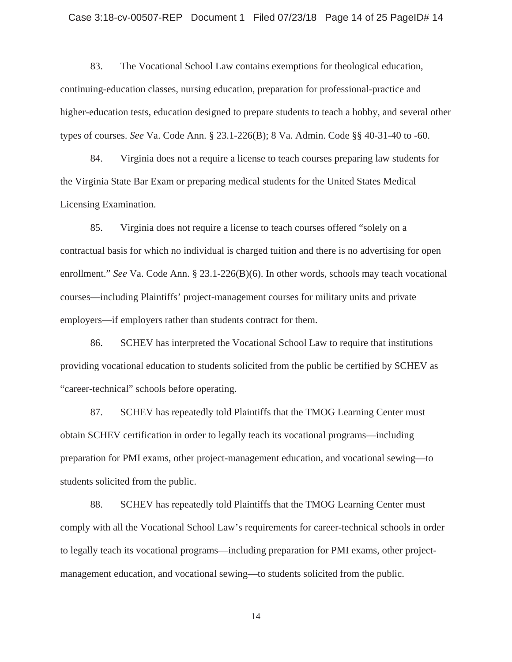### Case 3:18-cv-00507-REP Document 1 Filed 07/23/18 Page 14 of 25 PageID# 14

83. The Vocational School Law contains exemptions for theological education, continuing-education classes, nursing education, preparation for professional-practice and higher-education tests, education designed to prepare students to teach a hobby, and several other types of courses. *See* Va. Code Ann. § 23.1-226(B); 8 Va. Admin. Code §§ 40-31-40 to -60.

84. Virginia does not a require a license to teach courses preparing law students for the Virginia State Bar Exam or preparing medical students for the United States Medical Licensing Examination.

85. Virginia does not require a license to teach courses offered "solely on a contractual basis for which no individual is charged tuition and there is no advertising for open enrollment." *See* Va. Code Ann. § 23.1-226(B)(6). In other words, schools may teach vocational courses—including Plaintiffs' project-management courses for military units and private employers—if employers rather than students contract for them.

86. SCHEV has interpreted the Vocational School Law to require that institutions providing vocational education to students solicited from the public be certified by SCHEV as "career-technical" schools before operating.

87. SCHEV has repeatedly told Plaintiffs that the TMOG Learning Center must obtain SCHEV certification in order to legally teach its vocational programs—including preparation for PMI exams, other project-management education, and vocational sewing—to students solicited from the public.

88. SCHEV has repeatedly told Plaintiffs that the TMOG Learning Center must comply with all the Vocational School Law's requirements for career-technical schools in order to legally teach its vocational programs—including preparation for PMI exams, other projectmanagement education, and vocational sewing—to students solicited from the public.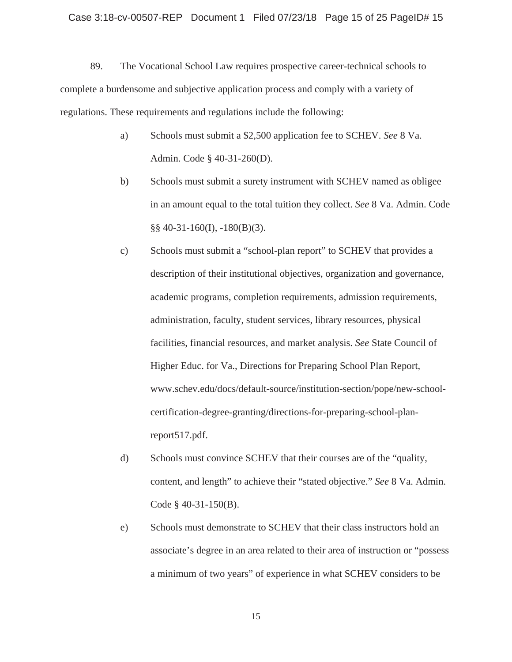89. The Vocational School Law requires prospective career-technical schools to complete a burdensome and subjective application process and comply with a variety of regulations. These requirements and regulations include the following:

- a) Schools must submit a \$2,500 application fee to SCHEV. *See* 8 Va. Admin. Code § 40-31-260(D).
- b) Schools must submit a surety instrument with SCHEV named as obligee in an amount equal to the total tuition they collect. *See* 8 Va. Admin. Code  $\S$ § 40-31-160(I), -180(B)(3).
- c) Schools must submit a "school-plan report" to SCHEV that provides a description of their institutional objectives, organization and governance, academic programs, completion requirements, admission requirements, administration, faculty, student services, library resources, physical facilities, financial resources, and market analysis. *See* State Council of Higher Educ. for Va., Directions for Preparing School Plan Report, www.schev.edu/docs/default-source/institution-section/pope/new-schoolcertification-degree-granting/directions-for-preparing-school-planreport517.pdf.
- d) Schools must convince SCHEV that their courses are of the "quality, content, and length" to achieve their "stated objective." *See* 8 Va. Admin. Code § 40-31-150(B).
- e) Schools must demonstrate to SCHEV that their class instructors hold an associate's degree in an area related to their area of instruction or "possess a minimum of two years" of experience in what SCHEV considers to be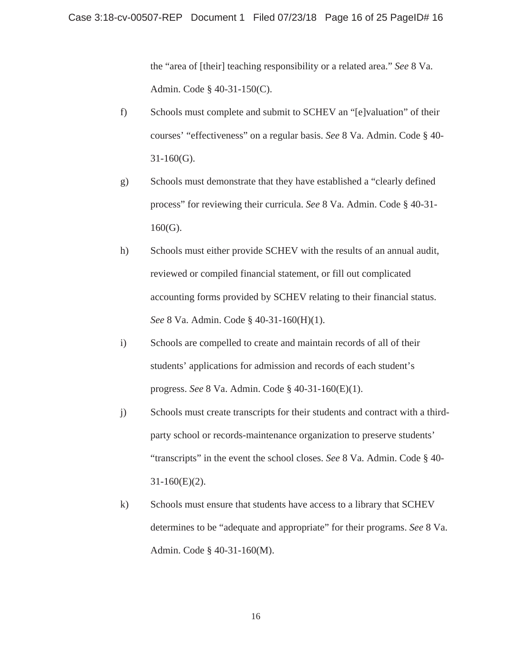the "area of [their] teaching responsibility or a related area." *See* 8 Va. Admin. Code § 40-31-150(C).

- f) Schools must complete and submit to SCHEV an "[e]valuation" of their courses' "effectiveness" on a regular basis. *See* 8 Va. Admin. Code § 40- 31-160(G).
- g) Schools must demonstrate that they have established a "clearly defined process" for reviewing their curricula. *See* 8 Va. Admin. Code § 40-31- 160(G).
- h) Schools must either provide SCHEV with the results of an annual audit, reviewed or compiled financial statement, or fill out complicated accounting forms provided by SCHEV relating to their financial status. *See* 8 Va. Admin. Code § 40-31-160(H)(1).
- i) Schools are compelled to create and maintain records of all of their students' applications for admission and records of each student's progress. *See* 8 Va. Admin. Code § 40-31-160(E)(1).
- j) Schools must create transcripts for their students and contract with a thirdparty school or records-maintenance organization to preserve students' "transcripts" in the event the school closes. *See* 8 Va. Admin. Code § 40-  $31-160(E)(2)$ .
- k) Schools must ensure that students have access to a library that SCHEV determines to be "adequate and appropriate" for their programs. *See* 8 Va. Admin. Code § 40-31-160(M).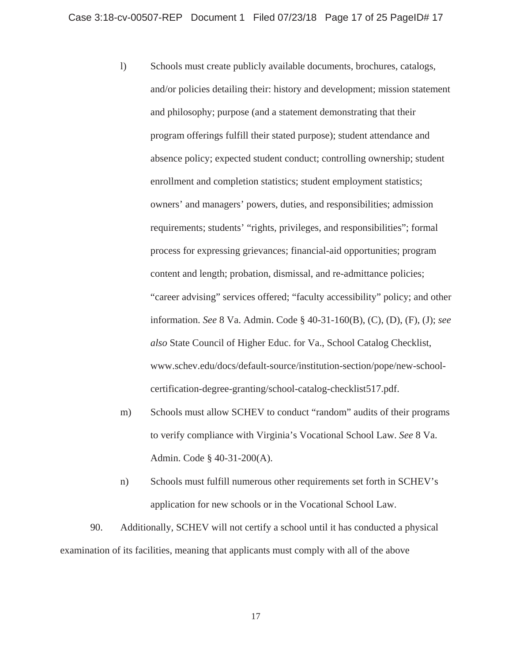- l) Schools must create publicly available documents, brochures, catalogs, and/or policies detailing their: history and development; mission statement and philosophy; purpose (and a statement demonstrating that their program offerings fulfill their stated purpose); student attendance and absence policy; expected student conduct; controlling ownership; student enrollment and completion statistics; student employment statistics; owners' and managers' powers, duties, and responsibilities; admission requirements; students' "rights, privileges, and responsibilities"; formal process for expressing grievances; financial-aid opportunities; program content and length; probation, dismissal, and re-admittance policies; "career advising" services offered; "faculty accessibility" policy; and other information. *See* 8 Va. Admin. Code § 40-31-160(B), (C), (D), (F), (J); *see also* State Council of Higher Educ. for Va., School Catalog Checklist, www.schev.edu/docs/default-source/institution-section/pope/new-schoolcertification-degree-granting/school-catalog-checklist517.pdf.
- m) Schools must allow SCHEV to conduct "random" audits of their programs to verify compliance with Virginia's Vocational School Law. *See* 8 Va. Admin. Code § 40-31-200(A).
- n) Schools must fulfill numerous other requirements set forth in SCHEV's application for new schools or in the Vocational School Law.

90. Additionally, SCHEV will not certify a school until it has conducted a physical examination of its facilities, meaning that applicants must comply with all of the above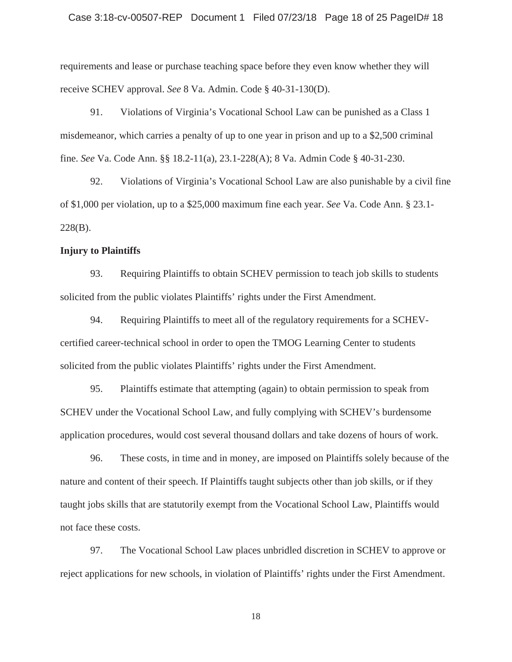requirements and lease or purchase teaching space before they even know whether they will receive SCHEV approval. *See* 8 Va. Admin. Code § 40-31-130(D).

91. Violations of Virginia's Vocational School Law can be punished as a Class 1 misdemeanor, which carries a penalty of up to one year in prison and up to a \$2,500 criminal fine. *See* Va. Code Ann. §§ 18.2-11(a), 23.1-228(A); 8 Va. Admin Code § 40-31-230.

92. Violations of Virginia's Vocational School Law are also punishable by a civil fine of \$1,000 per violation, up to a \$25,000 maximum fine each year. *See* Va. Code Ann. § 23.1- 228(B).

### **Injury to Plaintiffs**

93. Requiring Plaintiffs to obtain SCHEV permission to teach job skills to students solicited from the public violates Plaintiffs' rights under the First Amendment.

94. Requiring Plaintiffs to meet all of the regulatory requirements for a SCHEVcertified career-technical school in order to open the TMOG Learning Center to students solicited from the public violates Plaintiffs' rights under the First Amendment.

95. Plaintiffs estimate that attempting (again) to obtain permission to speak from SCHEV under the Vocational School Law, and fully complying with SCHEV's burdensome application procedures, would cost several thousand dollars and take dozens of hours of work.

96. These costs, in time and in money, are imposed on Plaintiffs solely because of the nature and content of their speech. If Plaintiffs taught subjects other than job skills, or if they taught jobs skills that are statutorily exempt from the Vocational School Law, Plaintiffs would not face these costs.

97. The Vocational School Law places unbridled discretion in SCHEV to approve or reject applications for new schools, in violation of Plaintiffs' rights under the First Amendment.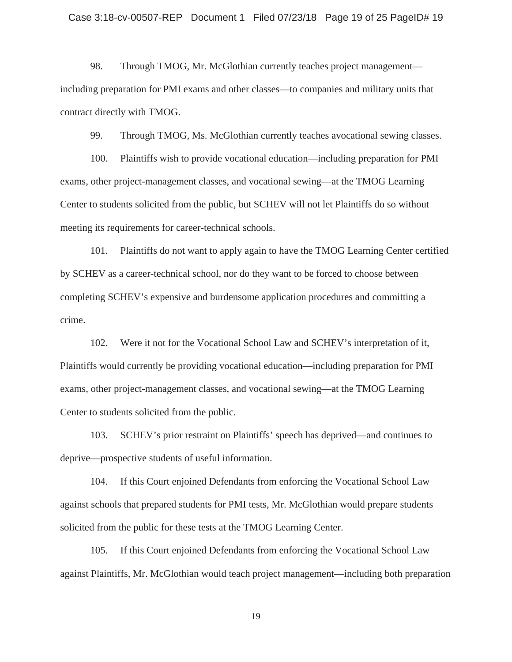98. Through TMOG, Mr. McGlothian currently teaches project management including preparation for PMI exams and other classes—to companies and military units that contract directly with TMOG.

99. Through TMOG, Ms. McGlothian currently teaches avocational sewing classes.

100. Plaintiffs wish to provide vocational education—including preparation for PMI exams, other project-management classes, and vocational sewing—at the TMOG Learning Center to students solicited from the public, but SCHEV will not let Plaintiffs do so without meeting its requirements for career-technical schools.

101. Plaintiffs do not want to apply again to have the TMOG Learning Center certified by SCHEV as a career-technical school, nor do they want to be forced to choose between completing SCHEV's expensive and burdensome application procedures and committing a crime.

102. Were it not for the Vocational School Law and SCHEV's interpretation of it, Plaintiffs would currently be providing vocational education—including preparation for PMI exams, other project-management classes, and vocational sewing—at the TMOG Learning Center to students solicited from the public.

103. SCHEV's prior restraint on Plaintiffs' speech has deprived—and continues to deprive—prospective students of useful information.

104. If this Court enjoined Defendants from enforcing the Vocational School Law against schools that prepared students for PMI tests, Mr. McGlothian would prepare students solicited from the public for these tests at the TMOG Learning Center.

105. If this Court enjoined Defendants from enforcing the Vocational School Law against Plaintiffs, Mr. McGlothian would teach project management—including both preparation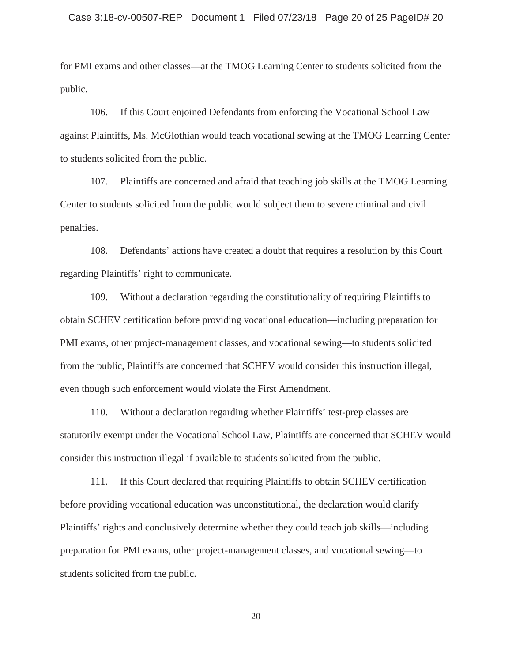for PMI exams and other classes—at the TMOG Learning Center to students solicited from the public.

106. If this Court enjoined Defendants from enforcing the Vocational School Law against Plaintiffs, Ms. McGlothian would teach vocational sewing at the TMOG Learning Center to students solicited from the public.

107. Plaintiffs are concerned and afraid that teaching job skills at the TMOG Learning Center to students solicited from the public would subject them to severe criminal and civil penalties.

108. Defendants' actions have created a doubt that requires a resolution by this Court regarding Plaintiffs' right to communicate.

109. Without a declaration regarding the constitutionality of requiring Plaintiffs to obtain SCHEV certification before providing vocational education—including preparation for PMI exams, other project-management classes, and vocational sewing—to students solicited from the public, Plaintiffs are concerned that SCHEV would consider this instruction illegal, even though such enforcement would violate the First Amendment.

110. Without a declaration regarding whether Plaintiffs' test-prep classes are statutorily exempt under the Vocational School Law, Plaintiffs are concerned that SCHEV would consider this instruction illegal if available to students solicited from the public.

111. If this Court declared that requiring Plaintiffs to obtain SCHEV certification before providing vocational education was unconstitutional, the declaration would clarify Plaintiffs' rights and conclusively determine whether they could teach job skills—including preparation for PMI exams, other project-management classes, and vocational sewing—to students solicited from the public.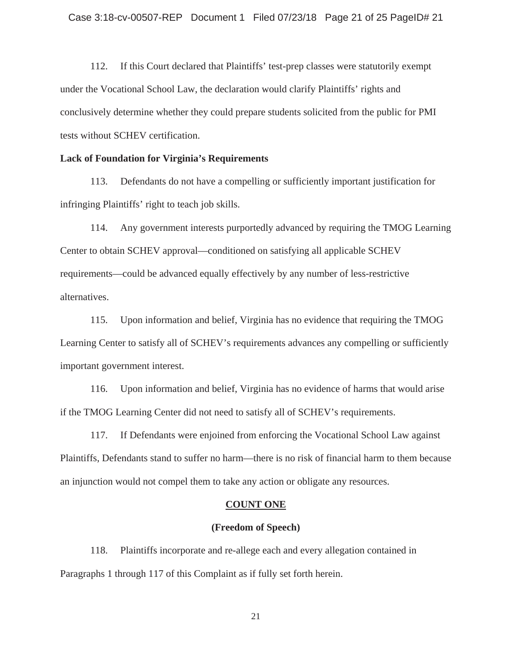112. If this Court declared that Plaintiffs' test-prep classes were statutorily exempt under the Vocational School Law, the declaration would clarify Plaintiffs' rights and conclusively determine whether they could prepare students solicited from the public for PMI tests without SCHEV certification.

### **Lack of Foundation for Virginia's Requirements**

113. Defendants do not have a compelling or sufficiently important justification for infringing Plaintiffs' right to teach job skills.

114. Any government interests purportedly advanced by requiring the TMOG Learning Center to obtain SCHEV approval—conditioned on satisfying all applicable SCHEV requirements—could be advanced equally effectively by any number of less-restrictive alternatives.

115. Upon information and belief, Virginia has no evidence that requiring the TMOG Learning Center to satisfy all of SCHEV's requirements advances any compelling or sufficiently important government interest.

116. Upon information and belief, Virginia has no evidence of harms that would arise if the TMOG Learning Center did not need to satisfy all of SCHEV's requirements.

117. If Defendants were enjoined from enforcing the Vocational School Law against Plaintiffs, Defendants stand to suffer no harm—there is no risk of financial harm to them because an injunction would not compel them to take any action or obligate any resources.

#### **COUNT ONE**

#### **(Freedom of Speech)**

118. Plaintiffs incorporate and re-allege each and every allegation contained in Paragraphs 1 through 117 of this Complaint as if fully set forth herein.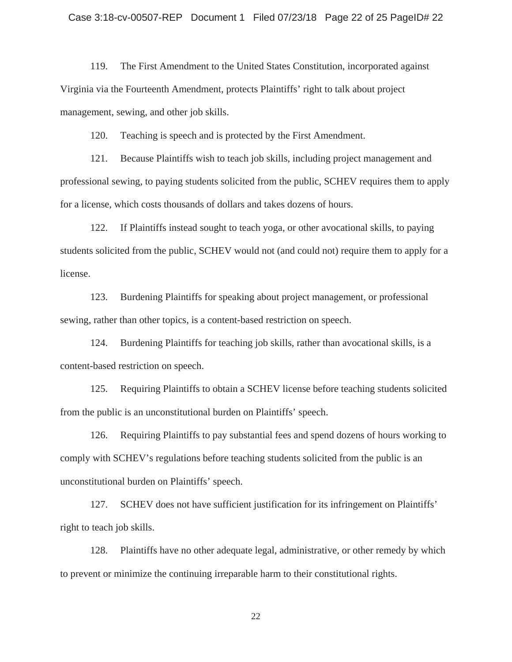119. The First Amendment to the United States Constitution, incorporated against Virginia via the Fourteenth Amendment, protects Plaintiffs' right to talk about project management, sewing, and other job skills.

120. Teaching is speech and is protected by the First Amendment.

121. Because Plaintiffs wish to teach job skills, including project management and professional sewing, to paying students solicited from the public, SCHEV requires them to apply for a license, which costs thousands of dollars and takes dozens of hours.

122. If Plaintiffs instead sought to teach yoga, or other avocational skills, to paying students solicited from the public, SCHEV would not (and could not) require them to apply for a license.

123. Burdening Plaintiffs for speaking about project management, or professional sewing, rather than other topics, is a content-based restriction on speech.

124. Burdening Plaintiffs for teaching job skills, rather than avocational skills, is a content-based restriction on speech.

125. Requiring Plaintiffs to obtain a SCHEV license before teaching students solicited from the public is an unconstitutional burden on Plaintiffs' speech.

126. Requiring Plaintiffs to pay substantial fees and spend dozens of hours working to comply with SCHEV's regulations before teaching students solicited from the public is an unconstitutional burden on Plaintiffs' speech.

127. SCHEV does not have sufficient justification for its infringement on Plaintiffs' right to teach job skills.

128. Plaintiffs have no other adequate legal, administrative, or other remedy by which to prevent or minimize the continuing irreparable harm to their constitutional rights.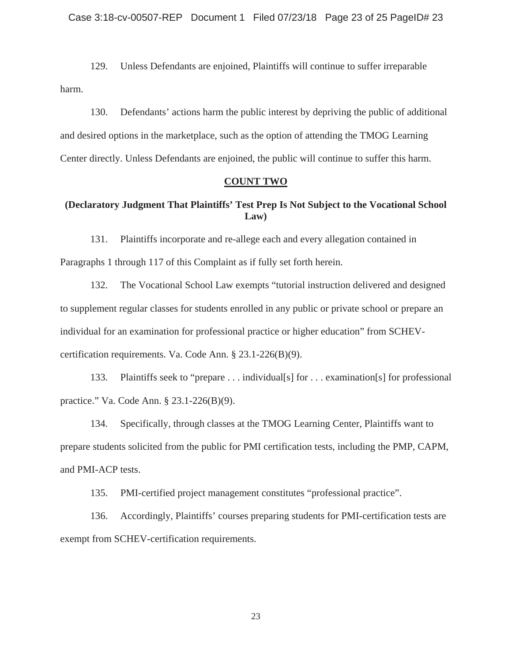129. Unless Defendants are enjoined, Plaintiffs will continue to suffer irreparable harm.

130. Defendants' actions harm the public interest by depriving the public of additional and desired options in the marketplace, such as the option of attending the TMOG Learning Center directly. Unless Defendants are enjoined, the public will continue to suffer this harm.

### **COUNT TWO**

# **(Declaratory Judgment That Plaintiffs' Test Prep Is Not Subject to the Vocational School Law)**

131. Plaintiffs incorporate and re-allege each and every allegation contained in Paragraphs 1 through 117 of this Complaint as if fully set forth herein.

132. The Vocational School Law exempts "tutorial instruction delivered and designed to supplement regular classes for students enrolled in any public or private school or prepare an individual for an examination for professional practice or higher education" from SCHEVcertification requirements. Va. Code Ann. § 23.1-226(B)(9).

133. Plaintiffs seek to "prepare . . . individual[s] for . . . examination[s] for professional practice." Va. Code Ann. § 23.1-226(B)(9).

134. Specifically, through classes at the TMOG Learning Center, Plaintiffs want to prepare students solicited from the public for PMI certification tests, including the PMP, CAPM, and PMI-ACP tests.

135. PMI-certified project management constitutes "professional practice".

136. Accordingly, Plaintiffs' courses preparing students for PMI-certification tests are exempt from SCHEV-certification requirements.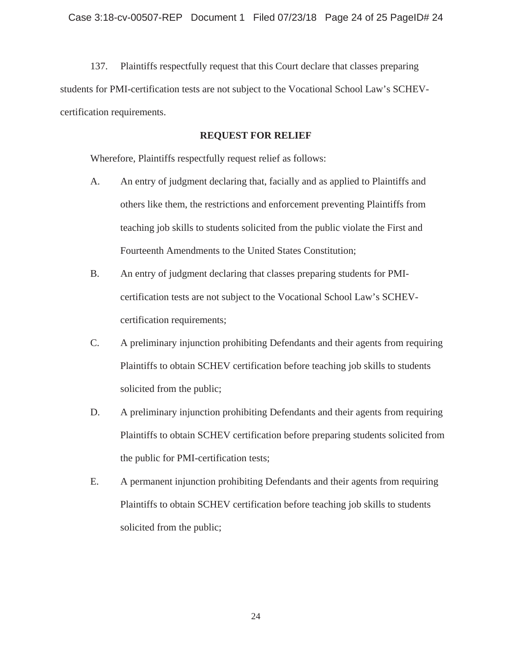137. Plaintiffs respectfully request that this Court declare that classes preparing students for PMI-certification tests are not subject to the Vocational School Law's SCHEVcertification requirements.

### **REQUEST FOR RELIEF**

Wherefore, Plaintiffs respectfully request relief as follows:

- A. An entry of judgment declaring that, facially and as applied to Plaintiffs and others like them, the restrictions and enforcement preventing Plaintiffs from teaching job skills to students solicited from the public violate the First and Fourteenth Amendments to the United States Constitution;
- B. An entry of judgment declaring that classes preparing students for PMIcertification tests are not subject to the Vocational School Law's SCHEVcertification requirements;
- C. A preliminary injunction prohibiting Defendants and their agents from requiring Plaintiffs to obtain SCHEV certification before teaching job skills to students solicited from the public;
- D. A preliminary injunction prohibiting Defendants and their agents from requiring Plaintiffs to obtain SCHEV certification before preparing students solicited from the public for PMI-certification tests;
- E. A permanent injunction prohibiting Defendants and their agents from requiring Plaintiffs to obtain SCHEV certification before teaching job skills to students solicited from the public;